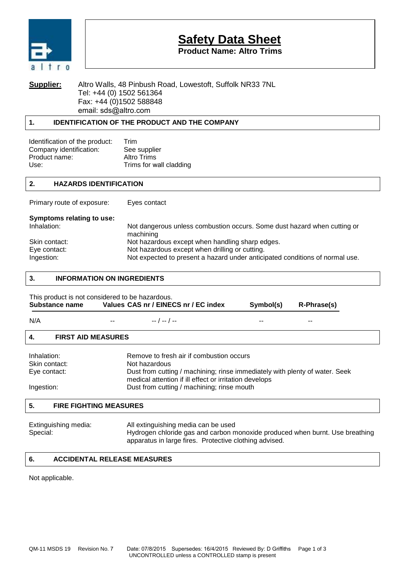

# **Safety Data Sheet**

**Product Name: Altro Trims**

### **Supplier:** Altro Walls, 48 Pinbush Road, Lowestoft, Suffolk NR33 7NL Tel: +44 (0) 1502 561364 Fax: +44 (0)1502 588848 email: sds@altro.com

## **1. IDENTIFICATION OF THE PRODUCT AND THE COMPANY**

| Trim                    |
|-------------------------|
| See supplier            |
| Altro Trims             |
| Trims for wall cladding |
|                         |

### **2. HAZARDS IDENTIFICATION**

Primary route of exposure: Eyes contact

| Symptoms relating to use: |                                                                                       |
|---------------------------|---------------------------------------------------------------------------------------|
| Inhalation:               | Not dangerous unless combustion occurs. Some dust hazard when cutting or<br>machining |
| Skin contact:             | Not hazardous except when handling sharp edges.                                       |
| Eye contact:              | Not hazardous except when drilling or cutting.                                        |
| Ingestion:                | Not expected to present a hazard under anticipated conditions of normal use.          |

#### **3. INFORMATION ON INGREDIENTS**

| This product is not considered to be hazardous.<br>Substance name |                                            | Values CAS nr / EINECS nr / EC index                                                                                                  | Symbol(s) | R-Phrase(s) |
|-------------------------------------------------------------------|--------------------------------------------|---------------------------------------------------------------------------------------------------------------------------------------|-----------|-------------|
| N/A                                                               |                                            | $- -$ / $- -$ / $- -$                                                                                                                 |           |             |
| 4.<br><b>FIRST AID MEASURES</b>                                   |                                            |                                                                                                                                       |           |             |
| Inhalation:                                                       |                                            | Remove to fresh air if combustion occurs                                                                                              |           |             |
| Skin contact:                                                     |                                            | Not hazardous                                                                                                                         |           |             |
| Eye contact:                                                      |                                            | Dust from cutting / machining; rinse immediately with plenty of water. Seek<br>medical attention if ill effect or irritation develops |           |             |
| Ingestion:                                                        | Dust from cutting / machining; rinse mouth |                                                                                                                                       |           |             |
| 5.<br><b>FIRE FIGHTING MEASURES</b>                               |                                            |                                                                                                                                       |           |             |

| Extinguishing media: | All extinguishing media can be used                                          |
|----------------------|------------------------------------------------------------------------------|
| Special:             | Hydrogen chloride gas and carbon monoxide produced when burnt. Use breathing |
|                      | apparatus in large fires. Protective clothing advised.                       |

## **6. ACCIDENTAL RELEASE MEASURES**

Not applicable.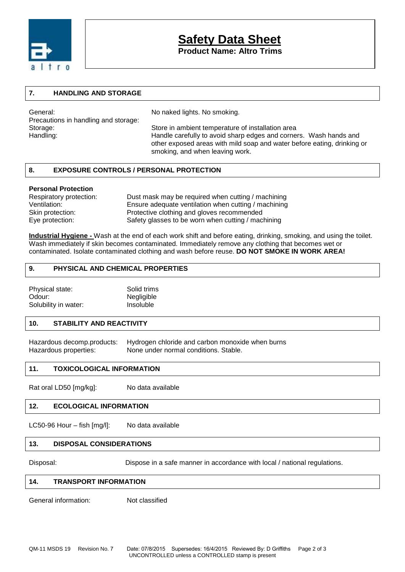

# **Safety Data Sheet**

**Product Name: Altro Trims**

#### **7. HANDLING AND STORAGE**

General: General: Seneral: No naked lights. No smoking. Precautions in handling and storage:

Storage: Store in ambient temperature of installation area Handling: Handle carefully to avoid sharp edges and corners. Wash hands and other exposed areas with mild soap and water before eating, drinking or smoking, and when leaving work.

#### **8. EXPOSURE CONTROLS / PERSONAL PROTECTION**

#### **Personal Protection**

| Respiratory protection: | Dust mask may be required when cutting / machining   |
|-------------------------|------------------------------------------------------|
| Ventilation:            | Ensure adequate ventilation when cutting / machining |
| Skin protection:        | Protective clothing and gloves recommended           |
| Eye protection:         | Safety glasses to be worn when cutting / machining   |

**Industrial Hygiene -** Wash at the end of each work shift and before eating, drinking, smoking, and using the toilet. Wash immediately if skin becomes contaminated. Immediately remove any clothing that becomes wet or contaminated. Isolate contaminated clothing and wash before reuse. **DO NOT SMOKE IN WORK AREA!**

#### **9. PHYSICAL AND CHEMICAL PROPERTIES**

| Physical state:      | Solid trims |
|----------------------|-------------|
| Odour:               | Negligible  |
| Solubility in water: | Insoluble   |

#### **10. STABILITY AND REACTIVITY**

Hazardous decomp.products: Hydrogen chloride and carbon monoxide when burns Hazardous properties: None under normal conditions. Stable.

#### **11. TOXICOLOGICAL INFORMATION**

Rat oral LD50 [mg/kg]: No data available

#### **12. ECOLOGICAL INFORMATION**

LC50-96 Hour – fish [mg/l]: No data available

#### **13. DISPOSAL CONSIDERATIONS**

Disposal: Dispose in a safe manner in accordance with local / national regulations.

#### **14. TRANSPORT INFORMATION**

General information: Not classified